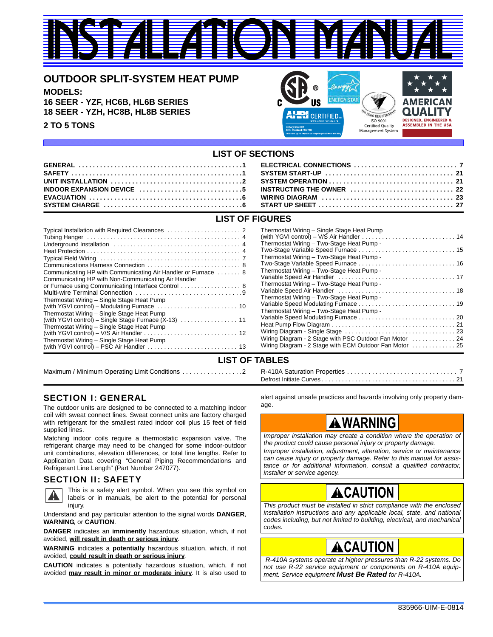# <u>INSTALLATION MANUALI</u>

### **OUTDOOR SPLIT-SYSTEM HEAT PUMP**

**MODELS: 16 SEER - YZF, HC6B, HL6B SERIES 18 SEER - YZH, HC8B, HL8B SERIES**

**2 TO 5 TONS**



### **LIST OF SECTIONS**

| INDOOR EXPANSION DEVICE $\ldots \ldots \ldots \ldots \ldots \ldots \ldots \ldots 5$ INSTRUCTING THE OWNER $\ldots \ldots \ldots \ldots \ldots \ldots \ldots \ldots 22$ |  |
|------------------------------------------------------------------------------------------------------------------------------------------------------------------------|--|
|                                                                                                                                                                        |  |
|                                                                                                                                                                        |  |

### **LIST OF FIGURES**

| Thermo<br>(with Y<br>Thermo<br>Two-St<br>Thermo<br>Two-St<br>Thermo<br>Communicating HP with Communicating Air Handler or Furnace  8<br>Variabl<br>Communicating HP with Non-Communicating Air Handler<br>Thermo<br>Variabl<br>Thermo<br>Thermostat Wiring - Single Stage Heat Pump<br>Variabl<br>(with YGVI control) – Modulating Furnace $\ldots \ldots \ldots \ldots \ldots \ldots \ldots \ldots$<br>Thermo<br>Thermostat Wiring - Single Stage Heat Pump<br>Variabl<br>(with YGVI control) - Single Stage Furnace (X-13)  11<br>Heat P<br>Thermostat Wiring - Single Stage Heat Pump<br>Wiring<br>(with YGVI control) – V/S Air Handler $\ldots \ldots \ldots \ldots \ldots \ldots \ldots \ldots \ldots$<br>Wiring<br>Thermostat Wiring - Single Stage Heat Pump<br>Wiring |
|--------------------------------------------------------------------------------------------------------------------------------------------------------------------------------------------------------------------------------------------------------------------------------------------------------------------------------------------------------------------------------------------------------------------------------------------------------------------------------------------------------------------------------------------------------------------------------------------------------------------------------------------------------------------------------------------------------------------------------------------------------------------------------|
|--------------------------------------------------------------------------------------------------------------------------------------------------------------------------------------------------------------------------------------------------------------------------------------------------------------------------------------------------------------------------------------------------------------------------------------------------------------------------------------------------------------------------------------------------------------------------------------------------------------------------------------------------------------------------------------------------------------------------------------------------------------------------------|

#### Thermostat Wiring – Single Stage Heat Pump (with YGVI control) – V/S Air Handler . . . . . . . . . . . . . . . . . . . . . . . . . . . . 14 ostat Wiring – Two-Stage Heat Pump tage Variable Speed Furnace . . . . . . . . . . . . . . . ostat Wiring – Two-Stage Heat Pump -Two-Stage Variable Speed Furnace . . . . . . . . . . . . . . . . . . . . . . . . . . . . . 16 ostat Wiring – Two-Stage Heat Pump -Variable Speed Air Handler . . . . . . . . . . . . . . . . . . . . . . . . . . . . . . . . . . . 17 ostat Wiring – Two-Stage Heat Pump le Speed Air Handler  $\ldots \ldots \ldots \ldots \ldots \ldots$ ostat Wiring – Two-Stage Heat Pump -Variable Speed Modulating Furnace . . . . . . . . . . . . . . . . . . . . . . . . . . . . . 19 ostat Wiring – Two-Stage Heat Pump -Variable Speed Modulating Furnace . . . . . . . . . . . . . . . . . . . . . . . . . . . . . 20 Heat Pump Flow Diagram . . . . . . . . . . . . . . . . . . . . . . . . . . . . . . . . . . . . . 21 Wiring Diagram - Single Stage . . . . . . . . . . . . . . . . . . . . . . . . . . . . . . . . . 23 Diagram - 2 Stage with PSC Outdoor Fan Motor . . . . . . . . . . . . . 24 Diagram - 2 Stage with ECM Outdoor Fan Motor . . . . . . . . . . . . 25

### **LIST OF TABLES**

Maximum / Minimum Operating Limit Conditions . . . . . . . . . . . . . . . . .2 R-410A Saturation Properties . . . . . . . . . . . . . . . . . . . . . . . . . . . . . . . 7 Defrost Initiate Curves . . . . . . . . . . . . . . . . . . . . . . . . . . . . . . . . . . . . . . . . 21

### SECTION I: GENERAL

The outdoor units are designed to be connected to a matching indoor coil with sweat connect lines. Sweat connect units are factory charged with refrigerant for the smallest rated indoor coil plus 15 feet of field supplied lines.

Matching indoor coils require a thermostatic expansion valve. The refrigerant charge may need to be changed for some indoor-outdoor unit combinations, elevation differences, or total line lengths. Refer to Application Data covering "General Piping Recommendations and Refrigerant Line Length" (Part Number 247077).

### SECTION II: SAFETY



This is a safety alert symbol. When you see this symbol on labels or in manuals, be alert to the potential for personal injury.

Understand and pay particular attention to the signal words **DANGER**, **WARNING**, or **CAUTION**.

**DANGER** indicates an **imminently** hazardous situation, which, if not avoided, **will result in death or serious injury**.

**WARNING** indicates a **potentially** hazardous situation, which, if not avoided, **could result in death or serious injury**.

**CAUTION** indicates a potentially hazardous situation, which, if not avoided **may result in minor or moderate injury**. It is also used to

alert against unsafe practices and hazards involving only property damage.

### **A WARNING**

*Improper installation may create a condition where the operation of the product could cause personal injury or property damage.*

*Improper installation, adjustment, alteration, service or maintenance can cause injury or property damage. Refer to this manual for assistance or for additional information, consult a qualified contractor, installer or service agency.*

# **.CAUTION**

*This product must be installed in strict compliance with the enclosed installation instructions and any applicable local, state, and national codes including, but not limited to building, electrical, and mechanical codes.*

# ACAUTION

 *R-410A systems operate at higher pressures than R-22 systems. Do not use R-22 service equipment or components on R-410A equipment. Service equipment Must Be Rated for R-410A.*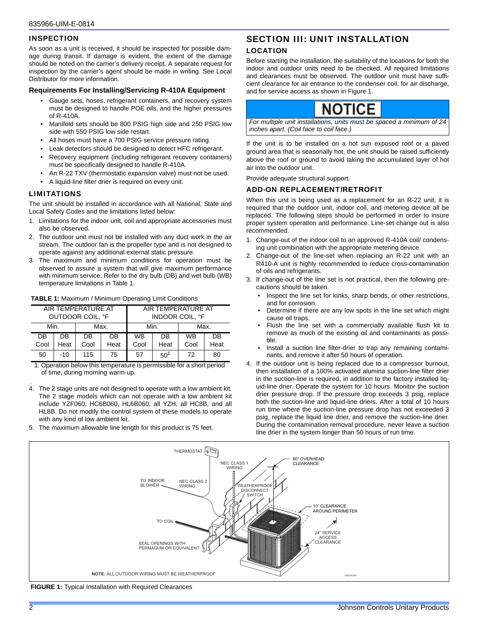#### **INSPECTION**

As soon as a unit is received, it should be inspected for possible damage during transit. If damage is evident, the extent of the damage should be noted on the carrier's delivery receipt. A separate request for inspection by the carrier's agent should be made in writing. See Local Distributor for more information.

#### **Requirements For Installing/Servicing R-410A Equipment**

- Gauge sets, hoses, refrigerant containers, and recovery system must be designed to handle POE oils, and the higher pressures of R-410A.
- Manifold sets should be 800 PSIG high side and 250 PSIG low side with 550 PSIG low side restart.
- All hoses must have a 700 PSIG service pressure rating.
- Leak detectors should be designed to detect HFC refrigerant.
- Recovery equipment (including refrigerant recovery containers) must be specifically designed to handle R-410A.
- An R-22 TXV (thermostatic expansion valve) must not be used.
- A liquid-line filter drier is required on every unit.

#### LIMITATIONS

The unit should be installed in accordance with all National, State and Local Safety Codes and the limitations listed below:

- 1. Limitations for the indoor unit, coil and appropriate accessories must also be observed.
- 2. The outdoor unit must not be installed with any duct work in the air stream. The outdoor fan is the propeller type and is not designed to operate against any additional external static pressure.
- 3. The maximum and minimum conditions for operation must be observed to assure a system that will give maximum performance with minimum service. Refer to the dry bulb (DB) and wet bulb (WB) temperature limitations in Table 1.

|  |  |  |  |  | <b>TABLE 1: Maximum / Minimum Operating Limit Conditions</b> |
|--|--|--|--|--|--------------------------------------------------------------|
|--|--|--|--|--|--------------------------------------------------------------|

|      |       | AIR TEMPERATURE AT<br>OUTDOOR COIL. °F |           | AIR TEMPERATURE AT<br><b>INDOOR COIL. °F</b> |          |           |           |
|------|-------|----------------------------------------|-----------|----------------------------------------------|----------|-----------|-----------|
| Min. |       | Max.                                   |           | Min.                                         |          | Max.      |           |
| DB   | DB    | DB                                     | <b>DB</b> | <b>WB</b><br>DB                              |          | <b>WB</b> | <b>DB</b> |
| Cool | Heat  | Cool                                   | Heat      | Cool                                         | Heat     | Cool      | Heat      |
| 50   | $-10$ | 115                                    | 75        | 57                                           | $50^{1}$ | 72        | 80        |

1. Operation below this temperature is permissible for a short period of time, during morning warm-up.

- 4. The 2 stage units are not designed to operate with a low ambient kit. The 2 stage models which can not operate with a low ambient kit include YZF060, HC6B060, HL6B060, all YZH, all HC8B, and all HL8B. Do not modify the control system of these models to operate with any kind of low ambient kit.
- 5. The maximum allowable line length for this product is 75 feet.

### SECTION III: UNIT INSTALLATION

#### LOCATION

Before starting the installation, the suitability of the locations for both the indoor and outdoor units need to be checked. All required limitations and clearances must be observed. The outdoor unit must have sufficient clearance for air entrance to the condenser coil, for air discharge, and for service access as shown in Figure 1.



*For multiple unit installations, units must be spaced a minimum of 24 inches apart. (Coil face to coil face.)*

If the unit is to be installed on a hot sun exposed roof or a paved ground area that is seasonally hot, the unit should be raised sufficiently above the roof or ground to avoid taking the accumulated layer of hot air into the outdoor unit.

Provide adequate structural support.

#### ADD-ON REPLACEMENT/RETROFIT

When this unit is being used as a replacement for an R-22 unit, it is required that the outdoor unit, indoor coil, and metering device all be replaced. The following steps should be performed in order to insure proper system operation and performance. Line-set change out is also recommended.

- 1. Change-out of the indoor coil to an approved R-410A coil/ condensing unit combination with the appropriate metering device.
- 2. Change-out of the line-set when replacing an R-22 unit with an R410-A unit is highly recommended to reduce cross-contamination of oils and refrigerants.
- 3. If change-out of the line set is not practical, then the following precautions should be taken.
	- Inspect the line set for kinks, sharp bends, or other restrictions, and for corrosion.
	- Determine if there are any low spots in the line set which might cause oil traps.
	- Flush the line set with a commercially available flush kit to remove as much of the existing oil and contaminants as possible.
	- Install a suction line filter-drier to trap any remaining contaminants, and remove it after 50 hours of operation.
- 4. If the outdoor unit is being replaced due to a compressor burnout, then installation of a 100% activated alumina suction-line filter drier in the suction-line is required, in addition to the factory installed liquid-line drier. Operate the system for 10 hours. Monitor the suction drier pressure drop. If the pressure drop exceeds 3 psig, replace both the suction-line and liquid-line driers. After a total of 10 hours run time where the suction-line pressure drop has not exceeded 3 psig, replace the liquid line drier, and remove the suction-line drier. During the contamination removal procedure, never leave a suction line drier in the system longer than 50 hours of run time.



 **FIGURE 1:** Typical Installation with Required Clearances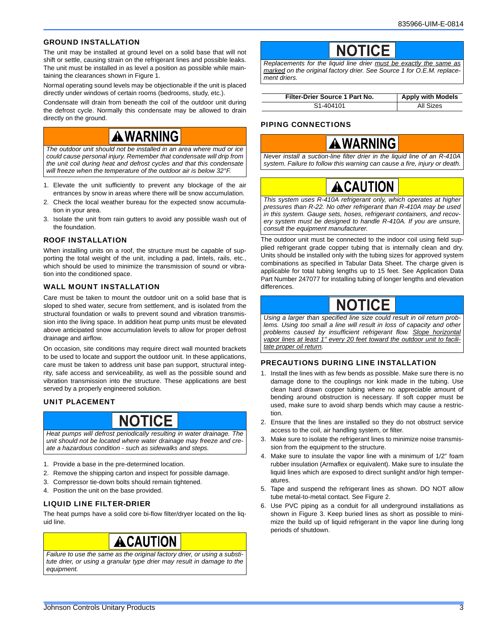#### GROUND INSTALLATION

The unit may be installed at ground level on a solid base that will not shift or settle, causing strain on the refrigerant lines and possible leaks. The unit must be installed in as level a position as possible while maintaining the clearances shown in Figure 1.

Normal operating sound levels may be objectionable if the unit is placed directly under windows of certain rooms (bedrooms, study, etc.).

Condensate will drain from beneath the coil of the outdoor unit during the defrost cycle. Normally this condensate may be allowed to drain directly on the ground.

### **A WARNING**

*The outdoor unit should not be installed in an area where mud or ice could cause personal injury. Remember that condensate will drip from the unit coil during heat and defrost cycles and that this condensate will freeze when the temperature of the outdoor air is below 32°F.*

- 1. Elevate the unit sufficiently to prevent any blockage of the air entrances by snow in areas where there will be snow accumulation.
- 2. Check the local weather bureau for the expected snow accumulation in your area.
- 3. Isolate the unit from rain gutters to avoid any possible wash out of the foundation.

#### ROOF INSTALLATION

When installing units on a roof, the structure must be capable of supporting the total weight of the unit, including a pad, lintels, rails, etc., which should be used to minimize the transmission of sound or vibration into the conditioned space.

#### WALL MOUNT INSTALLATION

Care must be taken to mount the outdoor unit on a solid base that is sloped to shed water, secure from settlement, and is isolated from the structural foundation or walls to prevent sound and vibration transmission into the living space. In addition heat pump units must be elevated above anticipated snow accumulation levels to allow for proper defrost drainage and airflow.

On occasion, site conditions may require direct wall mounted brackets to be used to locate and support the outdoor unit. In these applications, care must be taken to address unit base pan support, structural integrity, safe access and serviceability, as well as the possible sound and vibration transmission into the structure. These applications are best served by a properly engineered solution.

#### UNIT PLACEMENT

### **NOTICE**

*Heat pumps will defrost periodically resulting in water drainage. The unit should not be located where water drainage may freeze and create a hazardous condition - such as sidewalks and steps.*

- 1. Provide a base in the pre-determined location.
- 2. Remove the shipping carton and inspect for possible damage.
- 3. Compressor tie-down bolts should remain tightened.
- 4. Position the unit on the base provided.

#### LIQUID LINE FILTER-DRIER

The heat pumps have a solid core bi-flow filter/dryer located on the liquid line.

## ACAUTION

*Failure to use the same as the original factory drier, or using a substitute drier, or using a granular type drier may result in damage to the equipment.*

### **NOTICE**

*Replacements for the liquid line drier must be exactly the same as marked on the original factory drier. See Source 1 for O.E.M. replacement driers.*

| Filter-Drier Source 1 Part No. | <b>Apply with Models</b> |
|--------------------------------|--------------------------|
| S1-404101                      | All Sizes                |

#### PIPING CONNECTIONS



*Never install a suction-line filter drier in the liquid line of an R-410A system. Failure to follow this warning can cause a fire, injury or death.*



*This system uses R-410A refrigerant only, which operates at higher pressures than R-22. No other refrigerant than R-410A may be used in this system. Gauge sets, hoses, refrigerant containers, and recovery system must be designed to handle R-410A. If you are unsure, consult the equipment manufacturer.*

The outdoor unit must be connected to the indoor coil using field supplied refrigerant grade copper tubing that is internally clean and dry. Units should be installed only with the tubing sizes for approved system combinations as specified in Tabular Data Sheet. The charge given is applicable for total tubing lengths up to 15 feet. See Application Data Part Number 247077 for installing tubing of longer lengths and elevation differences.

# **NOTICE**

*Using a larger than specified line size could result in oil return problems. Using too small a line will result in loss of capacity and other problems caused by insufficient refrigerant flow. Slope horizontal vapor lines at least 1" every 20 feet toward the outdoor unit to facilitate proper oil return.*

#### PRECAUTIONS DURING LINE INSTALLATION

- 1. Install the lines with as few bends as possible. Make sure there is no damage done to the couplings nor kink made in the tubing. Use clean hard drawn copper tubing where no appreciable amount of bending around obstruction is necessary. If soft copper must be used, make sure to avoid sharp bends which may cause a restriction.
- 2. Ensure that the lines are installed so they do not obstruct service access to the coil, air handling system, or filter.
- 3. Make sure to isolate the refrigerant lines to minimize noise transmission from the equipment to the structure.
- 4. Make sure to insulate the vapor line with a minimum of 1/2" foam rubber insulation (Armaflex or equivalent). Make sure to insulate the liquid lines which are exposed to direct sunlight and/or high temperatures.
- 5. Tape and suspend the refrigerant lines as shown. DO NOT allow tube metal-to-metal contact. See Figure 2.
- 6. Use PVC piping as a conduit for all underground installations as shown in Figure 3. Keep buried lines as short as possible to minimize the build up of liquid refrigerant in the vapor line during long periods of shutdown.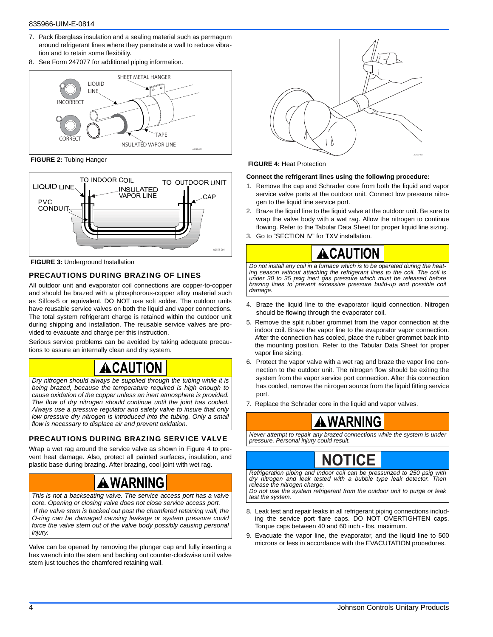#### 835966-UIM-E-0814

- 7. Pack fiberglass insulation and a sealing material such as permagum around refrigerant lines where they penetrate a wall to reduce vibration and to retain some flexibility.
- 8. See Form 247077 for additional piping information.



 **FIGURE 2:** Tubing Hanger



**FIGURE 3: Underground Installation** 

#### PRECAUTIONS DURING BRAZING OF LINES

All outdoor unit and evaporator coil connections are copper-to-copper and should be brazed with a phosphorous-copper alloy material such as Silfos-5 or equivalent. DO NOT use soft solder. The outdoor units have reusable service valves on both the liquid and vapor connections. The total system refrigerant charge is retained within the outdoor unit during shipping and installation. The reusable service valves are provided to evacuate and charge per this instruction.

Serious service problems can be avoided by taking adequate precautions to assure an internally clean and dry system.

### **A CAUTION**

*Dry nitrogen should always be supplied through the tubing while it is being brazed, because the temperature required is high enough to cause oxidation of the copper unless an inert atmosphere is provided. The flow of dry nitrogen should continue until the joint has cooled. Always use a pressure regulator and safety valve to insure that only low pressure dry nitrogen is introduced into the tubing. Only a small flow is necessary to displace air and prevent oxidation.*

#### PRECAUTIONS DURING BRAZING SERVICE VALVE

Wrap a wet rag around the service valve as shown in Figure 4 to prevent heat damage. Also, protect all painted surfaces, insulation, and plastic base during brazing. After brazing, cool joint with wet rag.

## **A** WARNING

*This is not a backseating valve. The service access port has a valve core. Opening or closing valve does not close service access port. If the valve stem is backed out past the chamfered retaining wall, the O-ring can be damaged causing leakage or system pressure could force the valve stem out of the valve body possibly causing personal injury.*

Valve can be opened by removing the plunger cap and fully inserting a hex wrench into the stem and backing out counter-clockwise until valve stem just touches the chamfered retaining wall.



 **FIGURE 4:** Heat Protection

#### **Connect the refrigerant lines using the following procedure:**

- 1. Remove the cap and Schrader core from both the liquid and vapor service valve ports at the outdoor unit. Connect low pressure nitrogen to the liquid line service port.
- 2. Braze the liquid line to the liquid valve at the outdoor unit. Be sure to wrap the valve body with a wet rag. Allow the nitrogen to continue flowing. Refer to the Tabular Data Sheet for proper liquid line sizing.
- 3. Go to "SECTION IV" for TXV installation.



*Do not install any coil in a furnace which is to be operated during the heating season without attaching the refrigerant lines to the coil. The coil is under 30 to 35 psig inert gas pressure which must be released before brazing lines to prevent excessive pressure build-up and possible coil damage.*

- 4. Braze the liquid line to the evaporator liquid connection. Nitrogen should be flowing through the evaporator coil.
- 5. Remove the split rubber grommet from the vapor connection at the indoor coil. Braze the vapor line to the evaporator vapor connection. After the connection has cooled, place the rubber grommet back into the mounting position. Refer to the Tabular Data Sheet for proper vapor line sizing.
- 6. Protect the vapor valve with a wet rag and braze the vapor line connection to the outdoor unit. The nitrogen flow should be exiting the system from the vapor service port connection. After this connection has cooled, remove the nitrogen source from the liquid fitting service port.
- 7. Replace the Schrader core in the liquid and vapor valves.

### A WARNING

*Never attempt to repair any brazed connections while the system is under pressure. Personal injury could result.*

# **NOTICE**

*Refrigeration piping and indoor coil can be pressurized to 250 psig with dry nitrogen and leak tested with a bubble type leak detector. Then release the nitrogen charge.*

*Do not use the system refrigerant from the outdoor unit to purge or leak test the system.*

- 8. Leak test and repair leaks in all refrigerant piping connections including the service port flare caps. DO NOT OVERTIGHTEN caps. Torque caps between 40 and 60 inch - lbs. maximum.
- 9. Evacuate the vapor line, the evaporator, and the liquid line to 500 microns or less in accordance with the EVACUTATION procedures.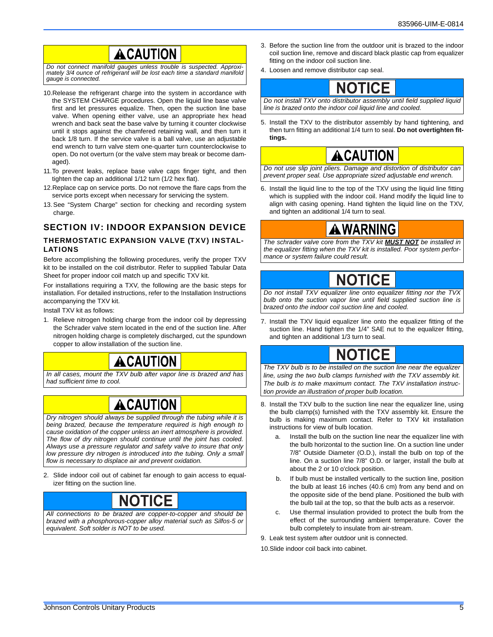### ACAUTION

*Do not connect manifold gauges unless trouble is suspected. Approximately 3/4 ounce of refrigerant will be lost each time a standard manifold gauge is connected.*

- 10.Release the refrigerant charge into the system in accordance with the SYSTEM CHARGE procedures. Open the liquid line base valve first and let pressures equalize. Then, open the suction line base valve. When opening either valve, use an appropriate hex head wrench and back seat the base valve by turning it counter clockwise until it stops against the chamfered retaining wall, and then turn it back 1/8 turn. If the service valve is a ball valve, use an adjustable end wrench to turn valve stem one-quarter turn counterclockwise to open. Do not overturn (or the valve stem may break or become damaged).
- 11.To prevent leaks, replace base valve caps finger tight, and then tighten the cap an additional 1/12 turn (1/2 hex flat).
- 12.Replace cap on service ports. Do not remove the flare caps from the service ports except when necessary for servicing the system.
- 13. See "System Charge" section for checking and recording system charge.

### SECTION IV: INDOOR EXPANSION DEVICE

#### THERMOSTATIC EXPANSION VALVE **(**TXV) INSTAL-LATIONS

Before accomplishing the following procedures, verify the proper TXV kit to be installed on the coil distributor. Refer to supplied Tabular Data Sheet for proper indoor coil match up and specific TXV kit.

For installations requiring a TXV, the following are the basic steps for installation. For detailed instructions, refer to the Installation Instructions accompanying the TXV kit.

Install TXV kit as follows:

1. Relieve nitrogen holding charge from the indoor coil by depressing the Schrader valve stem located in the end of the suction line. After nitrogen holding charge is completely discharged, cut the spundown copper to allow installation of the suction line.



*In all cases, mount the TXV bulb after vapor line is brazed and has had sufficient time to cool.*

# **ACAUTION**

*Dry nitrogen should always be supplied through the tubing while it is being brazed, because the temperature required is high enough to cause oxidation of the copper unless an inert atmosphere is provided. The flow of dry nitrogen should continue until the joint has cooled. Always use a pressure regulator and safety valve to insure that only low pressure dry nitrogen is introduced into the tubing. Only a small flow is necessary to displace air and prevent oxidation.*

2. Slide indoor coil out of cabinet far enough to gain access to equalizer fitting on the suction line.



*All connections to be brazed are copper-to-copper and should be brazed with a phosphorous-copper alloy material such as Silfos-5 or equivalent. Soft solder is NOT to be used.*

- 3. Before the suction line from the outdoor unit is brazed to the indoor coil suction line, remove and discard black plastic cap from equalizer fitting on the indoor coil suction line.
- 4. Loosen and remove distributor cap seal.



*Do not install TXV onto distributor assembly until field supplied liquid line is brazed onto the indoor coil liquid line and cooled.*

5. Install the TXV to the distributor assembly by hand tightening, and then turn fitting an additional 1/4 turn to seal. **Do not overtighten fittings.**

## **CAUTION**

*Do not use slip joint pliers. Damage and distortion of distributor can prevent proper seal. Use appropriate sized adjustable end wrench.*

6. Install the liquid line to the top of the TXV using the liquid line fitting which is supplied with the indoor coil. Hand modify the liquid line to align with casing opening. Hand tighten the liquid line on the TXV, and tighten an additional 1/4 turn to seal.

### **A WARNING**

*The schrader valve core from the TXV kit MUST NOT be installed in the equalizer fitting when the TXV kit is installed. Poor system performance or system failure could result.*

# **NOTICE**

*Do not install TXV equalizer line onto equalizer fitting nor the TVX bulb onto the suction vapor line until field supplied suction line is brazed onto the indoor coil suction line and cooled.*

7. Install the TXV liquid equalizer line onto the equalizer fitting of the suction line. Hand tighten the 1/4" SAE nut to the equalizer fitting, and tighten an additional 1/3 turn to seal.

# **NOTICE**

*The TXV bulb is to be installed on the suction line near the equalizer line, using the two bulb clamps furnished with the TXV assembly kit. The bulb is to make maximum contact. The TXV installation instruction provide an illustration of proper bulb location.*

- 8. Install the TXV bulb to the suction line near the equalizer line, using the bulb clamp(s) furnished with the TXV assembly kit. Ensure the bulb is making maximum contact. Refer to TXV kit installation instructions for view of bulb location.
	- Install the bulb on the suction line near the equalizer line with the bulb horizontal to the suction line. On a suction line under 7/8" Outside Diameter (O.D.), install the bulb on top of the line. On a suction line 7/8" O.D. or larger, install the bulb at about the 2 or 10 o'clock position.
	- b. If bulb must be installed vertically to the suction line, position the bulb at least 16 inches (40.6 cm) from any bend and on the opposite side of the bend plane. Positioned the bulb with the bulb tail at the top, so that the bulb acts as a reservoir.
	- c. Use thermal insulation provided to protect the bulb from the effect of the surrounding ambient temperature. Cover the bulb completely to insulate from air-stream.
- 9. Leak test system after outdoor unit is connected.

10.Slide indoor coil back into cabinet.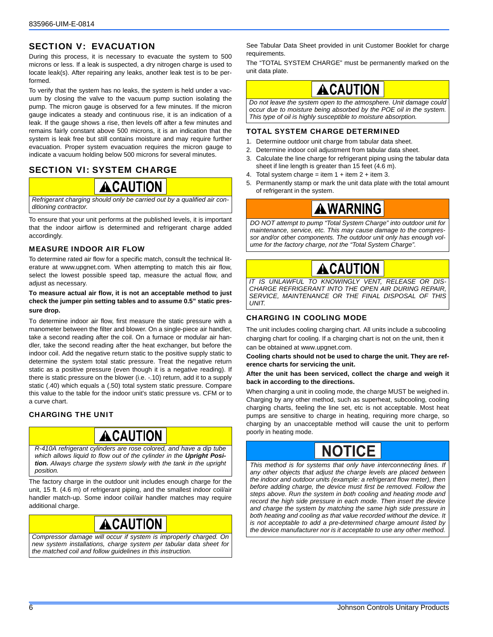### SECTION V: EVACUATION

During this process, it is necessary to evacuate the system to 500 microns or less. If a leak is suspected, a dry nitrogen charge is used to locate leak(s). After repairing any leaks, another leak test is to be performed.

To verify that the system has no leaks, the system is held under a vacuum by closing the valve to the vacuum pump suction isolating the pump. The micron gauge is observed for a few minutes. If the micron gauge indicates a steady and continuous rise, it is an indication of a leak. If the gauge shows a rise, then levels off after a few minutes and remains fairly constant above 500 microns, it is an indication that the system is leak free but still contains moisture and may require further evacuation. Proper system evacuation requires the micron gauge to indicate a vacuum holding below 500 microns for several minutes.

### SECTION VI: SYSTEM CHARGE



*Refrigerant charging should only be carried out by a qualified air conditioning contractor.*

To ensure that your unit performs at the published levels, it is important that the indoor airflow is determined and refrigerant charge added accordingly.

#### MEASURE INDOOR AIR FLOW

To determine rated air flow for a specific match, consult the technical literature at www.upgnet.com. When attempting to match this air flow, select the lowest possible speed tap, measure the actual flow, and adjust as necessary.

#### **To measure actual air flow, it is not an acceptable method to just check the jumper pin setting tables and to assume 0.5" static pressure drop.**

To determine indoor air flow, first measure the static pressure with a manometer between the filter and blower. On a single-piece air handler, take a second reading after the coil. On a furnace or modular air handler, take the second reading after the heat exchanger, but before the indoor coil. Add the negative return static to the positive supply static to determine the system total static pressure. Treat the negative return static as a positive pressure (even though it is a negative reading). If there is static pressure on the blower (i.e. -.10) return, add it to a supply static (.40) which equals a (.50) total system static pressure. Compare this value to the table for the indoor unit's static pressure vs. CFM or to a curve chart.

#### CHARGING THE UNIT

## ACAUTION

*R-410A refrigerant cylinders are rose colored, and have a dip tube* which allows liquid to flow out of the cylinder in the Upright Posi*tion. Always charge the system slowly with the tank in the upright position.*

The factory charge in the outdoor unit includes enough charge for the unit, 15 ft. (4.6 m) of refrigerant piping, and the smallest indoor coil/air handler match-up. Some indoor coil/air handler matches may require additional charge.

### **CAUTION**

*Compressor damage will occur if system is improperly charged. On new system installations, charge system per tabular data sheet for the matched coil and follow guidelines in this instruction.*

See Tabular Data Sheet provided in unit Customer Booklet for charge requirements.

The "TOTAL SYSTEM CHARGE" must be permanently marked on the unit data plate.

# ACAUTION

*Do not leave the system open to the atmosphere. Unit damage could occur due to moisture being absorbed by the POE oil in the system. This type of oil is highly susceptible to moisture absorption.*

#### TOTAL SYSTEM CHARGE DETERMINED

- 1. Determine outdoor unit charge from tabular data sheet.
- 2. Determine indoor coil adjustment from tabular data sheet.
- 3. Calculate the line charge for refrigerant piping using the tabular data sheet if line length is greater than 15 feet (4.6 m).
- 4. Total system charge = item  $1 +$  item  $2 +$  item 3.
- 5. Permanently stamp or mark the unit data plate with the total amount of refrigerant in the system.

### AWARNING

*DO NOT attempt to pump "Total System Charge" into outdoor unit for maintenance, service, etc. This may cause damage to the compressor and/or other components. The outdoor unit only has enough volume for the factory charge, not the "Total System Charge".*

# CAUTION

*IT IS UNLAWFUL TO KNOWINGLY VENT, RELEASE OR DIS-CHARGE REFRIGERANT INTO THE OPEN AIR DURING REPAIR, SERVICE, MAINTENANCE OR THE FINAL DISPOSAL OF THIS UNIT.*

#### CHARGING IN COOLING MODE

The unit includes cooling charging chart. All units include a subcooling charging chart for cooling. If a charging chart is not on the unit, then it can be obtained at www.upgnet.com.

**Cooling charts should not be used to charge the unit. They are reference charts for servicing the unit.** 

#### **After the unit has been serviced, collect the charge and weigh it back in according to the directions.**

When charging a unit in cooling mode, the charge MUST be weighed in. Charging by any other method, such as superheat, subcooling, cooling charging charts, feeling the line set, etc is not acceptable. Most heat pumps are sensitive to charge in heating, requiring more charge, so charging by an unacceptable method will cause the unit to perform poorly in heating mode.

# **NOTICE**

*This method is for systems that only have interconnecting lines. If any other objects that adjust the charge levels are placed between the indoor and outdoor units (example: a refrigerant flow meter), then before adding charge, the device must first be removed. Follow the steps above. Run the system in both cooling and heating mode and record the high side pressure in each mode. Then insert the device and charge the system by matching the same high side pressure in both heating and cooling as that value recorded without the device. It is not acceptable to add a pre-determined charge amount listed by the device manufacturer nor is it acceptable to use any other method.*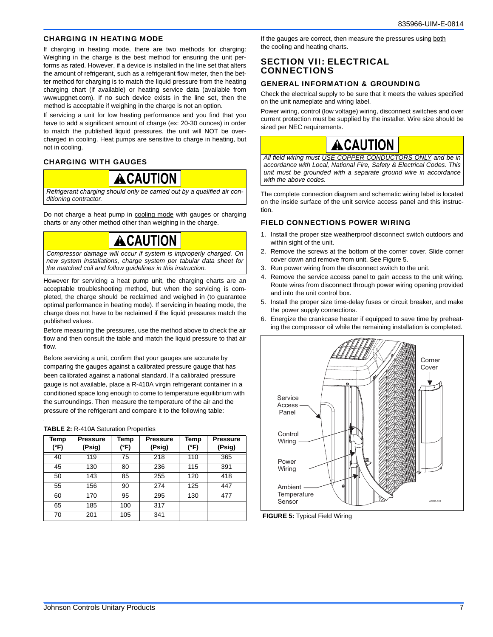#### CHARGING IN HEATING MODE

If charging in heating mode, there are two methods for charging: Weighing in the charge is the best method for ensuring the unit performs as rated. However, if a device is installed in the line set that alters the amount of refrigerant, such as a refrigerant flow meter, then the better method for charging is to match the liquid pressure from the heating charging chart (if available) or heating service data (available from wwwupgnet.com). If no such device exists in the line set, then the method is acceptable if weighing in the charge is not an option.

If servicing a unit for low heating performance and you find that you have to add a significant amount of charge (ex: 20-30 ounces) in order to match the published liquid pressures, the unit will NOT be overcharged in cooling. Heat pumps are sensitive to charge in heating, but not in cooling.

#### CHARGING WITH GAUGES



*Refrigerant charging should only be carried out by a qualified air conditioning contractor.*

Do not charge a heat pump in cooling mode with gauges or charging charts or any other method other than weighing in the charge.



*Compressor damage will occur if system is improperly charged. On new system installations, charge system per tabular data sheet for the matched coil and follow guidelines in this instruction.*

However for servicing a heat pump unit, the charging charts are an acceptable troubleshooting method, but when the servicing is completed, the charge should be reclaimed and weighed in (to guarantee optimal performance in heating mode). If servicing in heating mode, the charge does not have to be reclaimed if the liquid pressures match the published values.

Before measuring the pressures, use the method above to check the air flow and then consult the table and match the liquid pressure to that air flow.

Before servicing a unit, confirm that your gauges are accurate by comparing the gauges against a calibrated pressure gauge that has been calibrated against a national standard. If a calibrated pressure gauge is not available, place a R-410A virgin refrigerant container in a conditioned space long enough to come to temperature equilibrium with the surroundings. Then measure the temperature of the air and the pressure of the refrigerant and compare it to the following table:

| Temp<br>(°F) | <b>Pressure</b><br>(Psig) | Temp<br>(°F) | <b>Pressure</b><br>(Psig) | Temp<br>(°F) | <b>Pressure</b><br>(Psig) |
|--------------|---------------------------|--------------|---------------------------|--------------|---------------------------|
| 40           | 119                       | 75           | 218                       | 110          | 365                       |
| 45           | 130                       | 80           | 236                       | 115          | 391                       |
| 50           | 143                       | 85           | 255                       | 120          | 418                       |
| 55           | 156                       | 90           | 274                       | 125          | 447                       |
| 60           | 170                       | 95           | 295                       | 130          | 477                       |
| 65           | 185                       | 100          | 317                       |              |                           |
| 70           | 201                       | 105          | 341                       |              |                           |

#### **TABLE 2:** R-410A Saturation Properties

If the gauges are correct, then measure the pressures using both the cooling and heating charts.

#### SECTION VII: ELECTRICAL CONNECTIONS

#### GENERAL INFORMATION & GROUNDING

Check the electrical supply to be sure that it meets the values specified on the unit nameplate and wiring label.

Power wiring, control (low voltage) wiring, disconnect switches and over current protection must be supplied by the installer. Wire size should be sized per NEC requirements.

# A CAUTION

*All field wiring must USE COPPER CONDUCTORS ONLY and be in accordance with Local, National Fire, Safety & Electrical Codes. This unit must be grounded with a separate ground wire in accordance with the above codes.*

The complete connection diagram and schematic wiring label is located on the inside surface of the unit service access panel and this instruction.

#### FIELD CONNECTIONS POWER WIRING

- 1. Install the proper size weatherproof disconnect switch outdoors and within sight of the unit.
- 2. Remove the screws at the bottom of the corner cover. Slide corner cover down and remove from unit. See Figure 5.
- 3. Run power wiring from the disconnect switch to the unit.
- 4. Remove the service access panel to gain access to the unit wiring. Route wires from disconnect through power wiring opening provided and into the unit control box.
- 5. Install the proper size time-delay fuses or circuit breaker, and make the power supply connections.
- Energize the crankcase heater if equipped to save time by preheating the compressor oil while the remaining installation is completed.



 **FIGURE 5:** Typical Field Wiring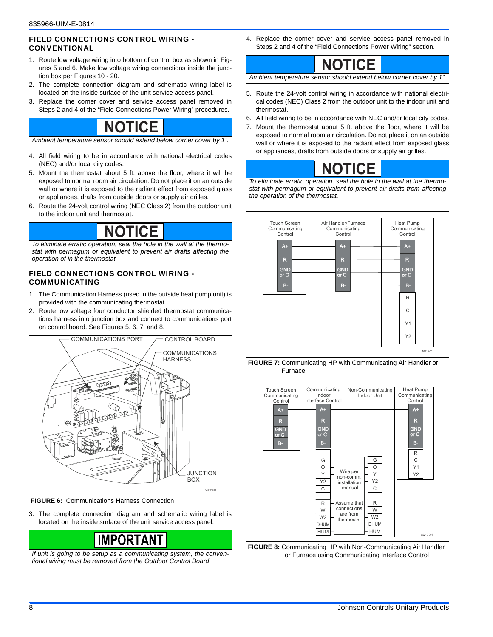#### FIELD CONNECTIONS CONTROL WIRING - CONVENTIONAL

- 1. Route low voltage wiring into bottom of control box as shown in Figures 5 and 6. Make low voltage wiring connections inside the junction box per Figures 10 - 20.
- 2. The complete connection diagram and schematic wiring label is located on the inside surface of the unit service access panel.
- 3. Replace the corner cover and service access panel removed in Steps 2 and 4 of the "Field Connections Power Wiring" procedures.

### **NOTICE**

*Ambient temperature sensor should extend below corner cover by 1".*

- 4. All field wiring to be in accordance with national electrical codes (NEC) and/or local city codes.
- 5. Mount the thermostat about 5 ft. above the floor, where it will be exposed to normal room air circulation. Do not place it on an outside wall or where it is exposed to the radiant effect from exposed glass or appliances, drafts from outside doors or supply air grilles.
- 6. Route the 24-volt control wiring (NEC Class 2) from the outdoor unit to the indoor unit and thermostat.

# **NOTICE**

*To eliminate erratic operation, seal the hole in the wall at the thermostat with permagum or equivalent to prevent air drafts affecting the operation of in the thermostat.*

#### FIELD CONNECTIONS CONTROL WIRING - COMMUNICATING

- 1. The Communication Harness (used in the outside heat pump unit) is provided with the communicating thermostat.
- 2. Route low voltage four conductor shielded thermostat communications harness into junction box and connect to communications port on control board. See Figures 5, 6, 7, and 8.



 **FIGURE 6:** Communications Harness Connection

3. The complete connection diagram and schematic wiring label is located on the inside surface of the unit service access panel.



*If unit is going to be setup as a communicating system, the conventional wiring must be removed from the Outdoor Control Board.*

4. Replace the corner cover and service access panel removed in Steps 2 and 4 of the "Field Connections Power Wiring" section.



*Ambient temperature sensor should extend below corner cover by 1".*

- 5. Route the 24-volt control wiring in accordance with national electrical codes (NEC) Class 2 from the outdoor unit to the indoor unit and thermostat.
- 6. All field wiring to be in accordance with NEC and/or local city codes.
- 7. Mount the thermostat about 5 ft. above the floor, where it will be exposed to normal room air circulation. Do not place it on an outside wall or where it is exposed to the radiant effect from exposed glass or appliances, drafts from outside doors or supply air grilles.

# **NOTICE**

*To eliminate erratic operation, seal the hole in the wall at the thermostat with permagum or equivalent to prevent air drafts from affecting the operation of the thermostat.*

.



 **FIGURE 7:** Communicating HP with Communicating Air Handler or Furnace



 **FIGURE 8:** Communicating HP with Non-Communicating Air Handler or Furnace using Communicating Interface Control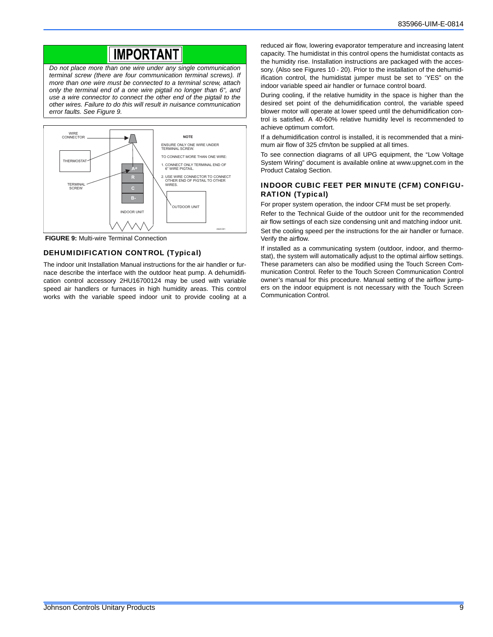### **IMPORTANT**

*Do not place more than one wire under any single communication terminal screw (there are four communication terminal screws). If more than one wire must be connected to a terminal screw, attach only the terminal end of a one wire pigtail no longer than 6", and use a wire connector to connect the other end of the pigtail to the other wires. Failure to do this will result in nuisance communication error faults. See Figure 9.*



 **FIGURE 9:** Multi-wire Terminal Connection

#### DEHUMIDIFICATION CONTROL (Typical)

The indoor unit Installation Manual instructions for the air handler or furnace describe the interface with the outdoor heat pump. A dehumidification control accessory 2HU16700124 may be used with variable speed air handlers or furnaces in high humidity areas. This control works with the variable speed indoor unit to provide cooling at a

reduced air flow, lowering evaporator temperature and increasing latent capacity. The humidistat in this control opens the humidistat contacts as the humidity rise. Installation instructions are packaged with the accessory. (Also see Figures 10 - 20). Prior to the installation of the dehumidification control, the humidistat jumper must be set to 'YES" on the indoor variable speed air handler or furnace control board.

During cooling, if the relative humidity in the space is higher than the desired set point of the dehumidification control, the variable speed blower motor will operate at lower speed until the dehumidification control is satisfied. A 40-60% relative humidity level is recommended to achieve optimum comfort.

If a dehumidification control is installed, it is recommended that a minimum air flow of 325 cfm/ton be supplied at all times.

To see connection diagrams of all UPG equipment, the "Low Voltage System Wiring" document is available online at www.upgnet.com in the Product Catalog Section.

#### INDOOR CUBIC FEET PER MINUTE (CFM) CONFIGU-RATION (Typical)

For proper system operation, the indoor CFM must be set properly.

Refer to the Technical Guide of the outdoor unit for the recommended air flow settings of each size condensing unit and matching indoor unit.

Set the cooling speed per the instructions for the air handler or furnace. Verify the airflow.

If installed as a communicating system (outdoor, indoor, and thermostat), the system will automatically adjust to the optimal airflow settings. These parameters can also be modified using the Touch Screen Communication Control. Refer to the Touch Screen Communication Control owner's manual for this procedure. Manual setting of the airflow jumpers on the indoor equipment is not necessary with the Touch Screen Communication Control.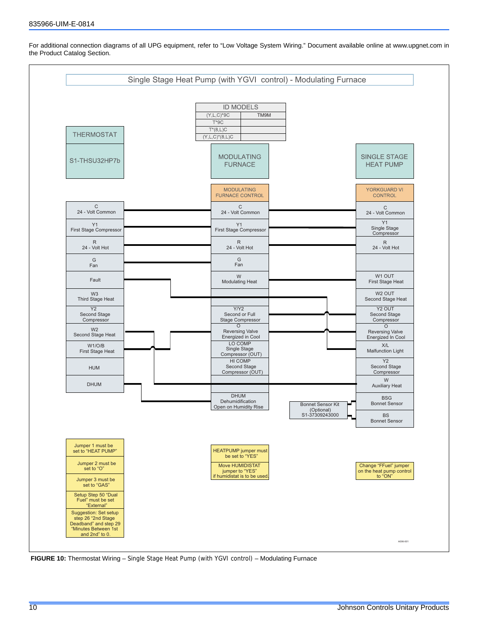

For additional connection diagrams of all UPG equipment, refer to "Low Voltage System Wiring." Document available online at www.upgnet.com in the Product Catalog Section.

 **FIGURE 10:** Thermostat Wiring – Single Stage Heat Pump (with YGVI control) – Modulating Furnace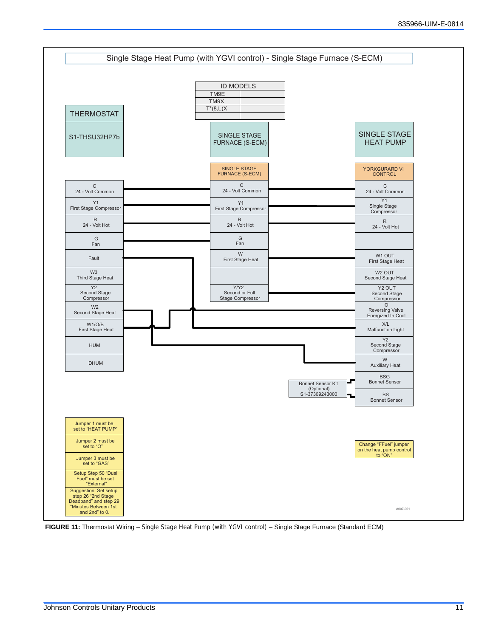

 **FIGURE 11:** Thermostat Wiring – Single Stage Heat Pump (with YGVI control) – Single Stage Furnace (Standard ECM)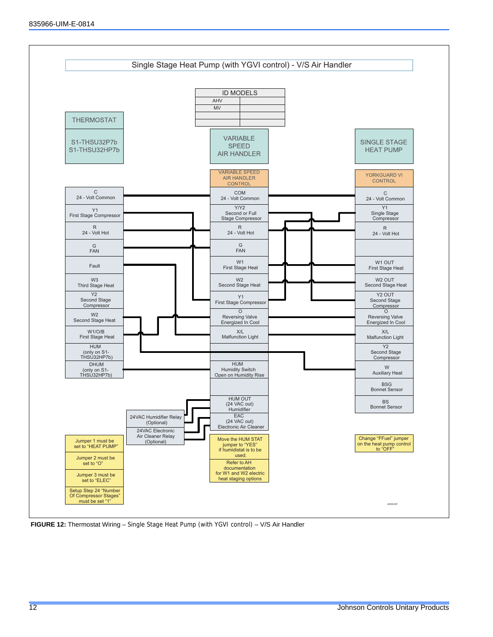

 **FIGURE 12:** Thermostat Wiring – Single Stage Heat Pump (with YGVI control) – V/S Air Handler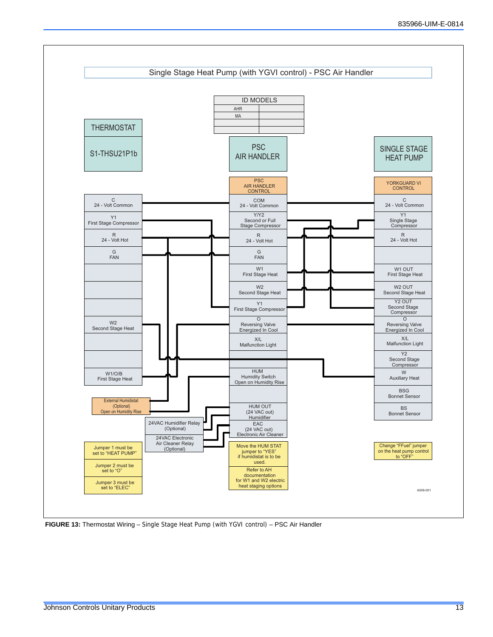

 **FIGURE 13:** Thermostat Wiring – Single Stage Heat Pump (with YGVI control) – PSC Air Handler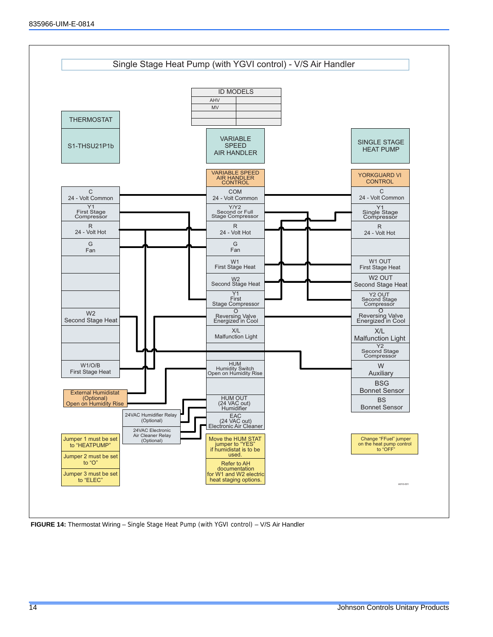

 **FIGURE 14:** Thermostat Wiring – Single Stage Heat Pump (with YGVI control) – V/S Air Handler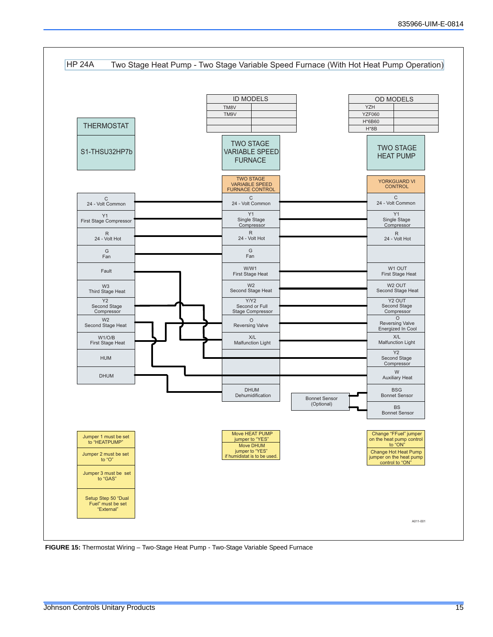

 **FIGURE 15:** Thermostat Wiring – Two-Stage Heat Pump - Two-Stage Variable Speed Furnace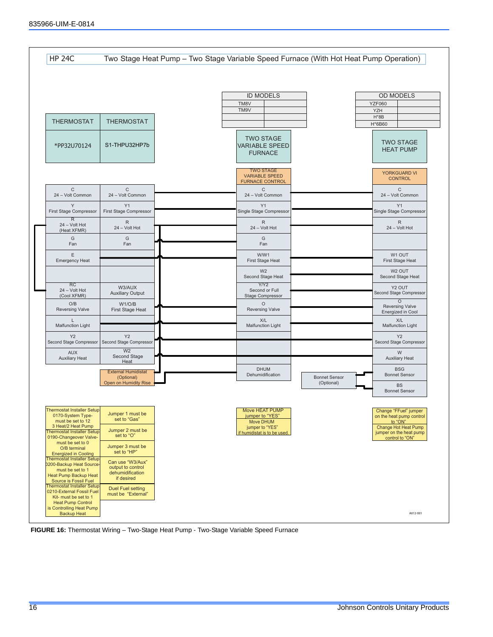

 **FIGURE 16:** Thermostat Wiring – Two-Stage Heat Pump - Two-Stage Variable Speed Furnace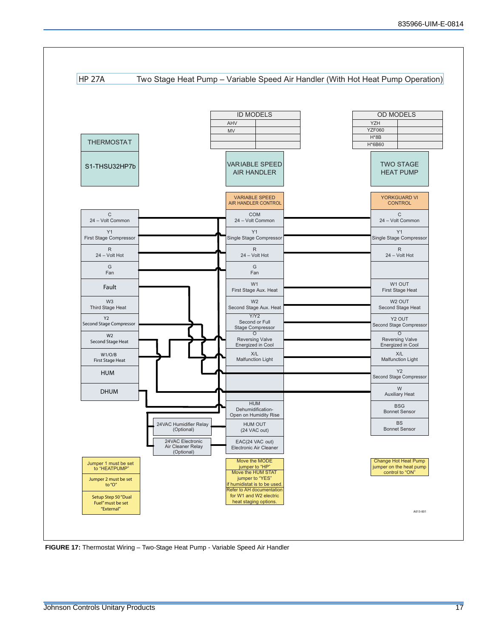

 **FIGURE 17:** Thermostat Wiring – Two-Stage Heat Pump - Variable Speed Air Handler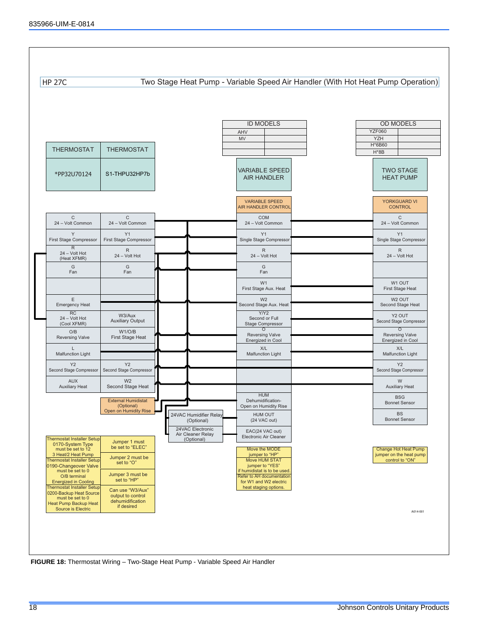

 **FIGURE 18:** Thermostat Wiring – Two-Stage Heat Pump - Variable Speed Air Handler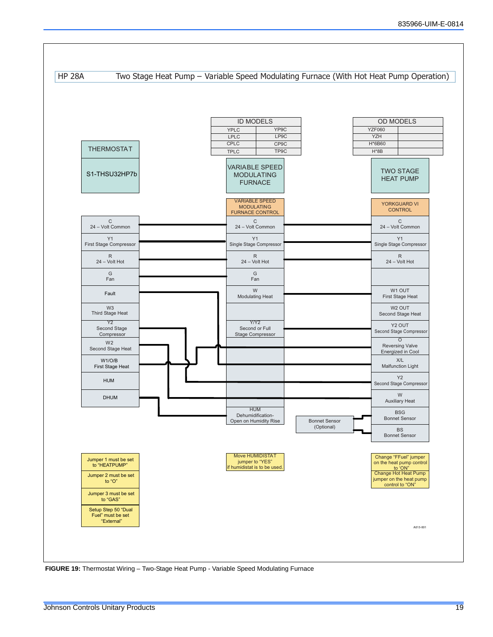

 **FIGURE 19:** Thermostat Wiring – Two-Stage Heat Pump - Variable Speed Modulating Furnace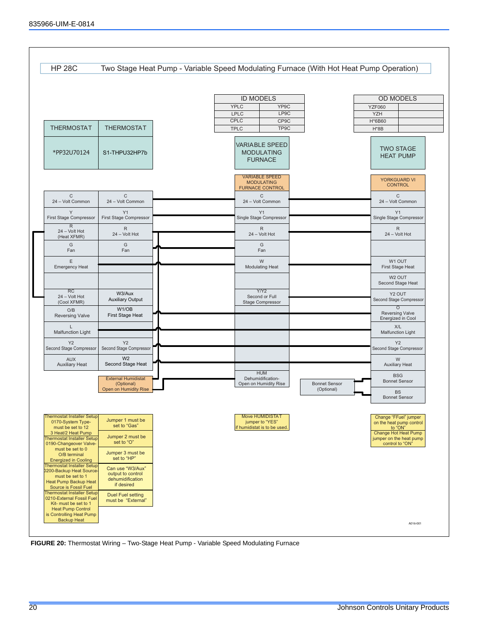

 **FIGURE 20:** Thermostat Wiring – Two-Stage Heat Pump - Variable Speed Modulating Furnace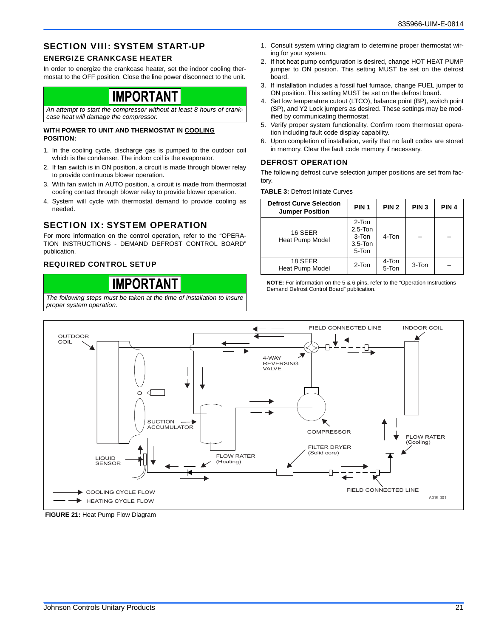### SECTION VIII: SYSTEM START-UP

#### ENERGIZE CRANKCASE HEATER

In order to energize the crankcase heater, set the indoor cooling thermostat to the OFF position. Close the line power disconnect to the unit.

### **IMPORTANT**

*An attempt to start the compressor without at least 8 hours of crankcase heat will damage the compressor.*

#### **WITH POWER TO UNIT AND THERMOSTAT IN COOLING POSITION:**

- 1. In the cooling cycle, discharge gas is pumped to the outdoor coil which is the condenser. The indoor coil is the evaporator.
- 2. If fan switch is in ON position, a circuit is made through blower relay to provide continuous blower operation.
- 3. With fan switch in AUTO position, a circuit is made from thermostat cooling contact through blower relay to provide blower operation.
- 4. System will cycle with thermostat demand to provide cooling as needed.

### SECTION IX: SYSTEM OPERATION

For more information on the control operation, refer to the "OPERA-TION INSTRUCTIONS - DEMAND DEFROST CONTROL BOARD" publication.

#### REQUIRED CONTROL SETUP

**IMPORTANT** *The following steps must be taken at the time of installation to insure proper system operation.*

- 1. Consult system wiring diagram to determine proper thermostat wiring for your system.
- 2. If hot heat pump configuration is desired, change HOT HEAT PUMP jumper to ON position. This setting MUST be set on the defrost board.
- 3. If installation includes a fossil fuel furnace, change FUEL jumper to ON position. This setting MUST be set on the defrost board.
- 4. Set low temperature cutout (LTCO), balance point (BP), switch point (SP), and Y2 Lock jumpers as desired. These settings may be modified by communicating thermostat.
- 5. Verify proper system functionality. Confirm room thermostat operation including fault code display capability.
- 6. Upon completion of installation, verify that no fault codes are stored in memory. Clear the fault code memory if necessary.

#### DEFROST OPERATION

The following defrost curve selection jumper positions are set from factory.

**TABLE 3:** Defrost Initiate Curves

| <b>Defrost Curve Selection</b><br><b>Jumper Position</b> | PIN <sub>1</sub>                                        | PIN <sub>2</sub> | PIN <sub>3</sub> | PIN <sub>4</sub> |
|----------------------------------------------------------|---------------------------------------------------------|------------------|------------------|------------------|
| 16 SEER<br>Heat Pump Model                               | 2-Ton<br>$2.5 - Ton$<br>$3-Ton$<br>$3.5 - Ton$<br>5-Ton | $4-Ton$          |                  |                  |
| 18 SEER<br>Heat Pump Model                               | 2-Ton                                                   | 4-Ton<br>5-Ton   | 3-Ton            |                  |

**NOTE:** For information on the 5 & 6 pins, refer to the "Operation Instructions - Demand Defrost Control Board" publication.



**FIGURE 21: Heat Pump Flow Diagram**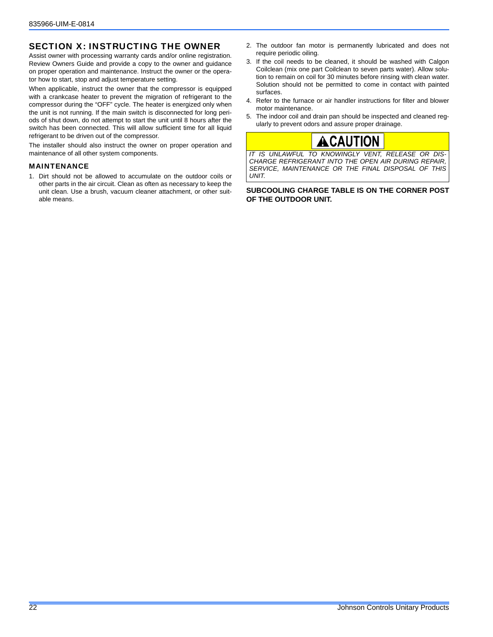### SECTION X: INSTRUCTING THE OWNER

Assist owner with processing warranty cards and/or online registration. Review Owners Guide and provide a copy to the owner and guidance on proper operation and maintenance. Instruct the owner or the operator how to start, stop and adjust temperature setting.

When applicable, instruct the owner that the compressor is equipped with a crankcase heater to prevent the migration of refrigerant to the compressor during the "OFF" cycle. The heater is energized only when the unit is not running. If the main switch is disconnected for long periods of shut down, do not attempt to start the unit until 8 hours after the switch has been connected. This will allow sufficient time for all liquid refrigerant to be driven out of the compressor.

The installer should also instruct the owner on proper operation and maintenance of all other system components.

#### MAINTENANCE

1. Dirt should not be allowed to accumulate on the outdoor coils or other parts in the air circuit. Clean as often as necessary to keep the unit clean. Use a brush, vacuum cleaner attachment, or other suitable means.

- 2. The outdoor fan motor is permanently lubricated and does not require periodic oiling.
- 3. If the coil needs to be cleaned, it should be washed with Calgon Coilclean (mix one part Coilclean to seven parts water). Allow solution to remain on coil for 30 minutes before rinsing with clean water. Solution should not be permitted to come in contact with painted surfaces.
- 4. Refer to the furnace or air handler instructions for filter and blower motor maintenance.
- 5. The indoor coil and drain pan should be inspected and cleaned regularly to prevent odors and assure proper drainage.

### ACAUTION

*IT IS UNLAWFUL TO KNOWINGLY VENT, RELEASE OR DIS-CHARGE REFRIGERANT INTO THE OPEN AIR DURING REPAIR, SERVICE, MAINTENANCE OR THE FINAL DISPOSAL OF THIS UNIT.*

**SUBCOOLING CHARGE TABLE IS ON THE CORNER POST OF THE OUTDOOR UNIT.**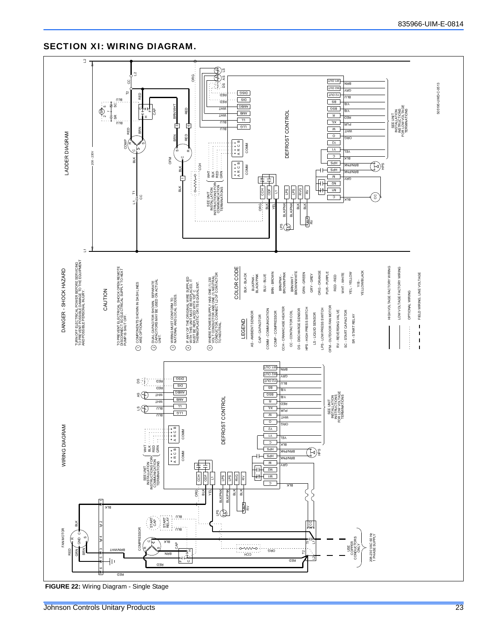### SECTION XI: WIRING DIAGRAM.

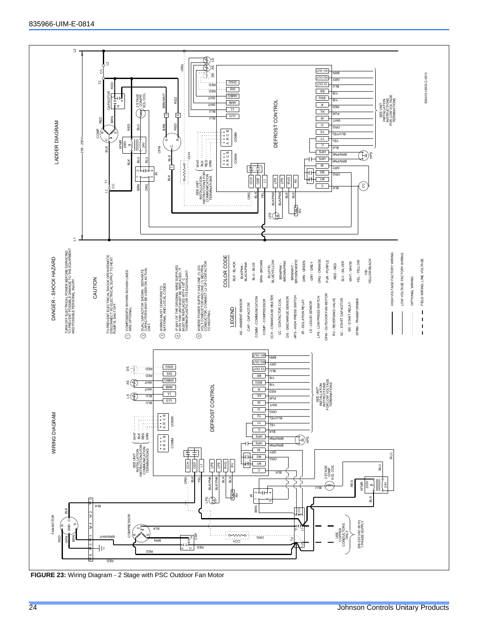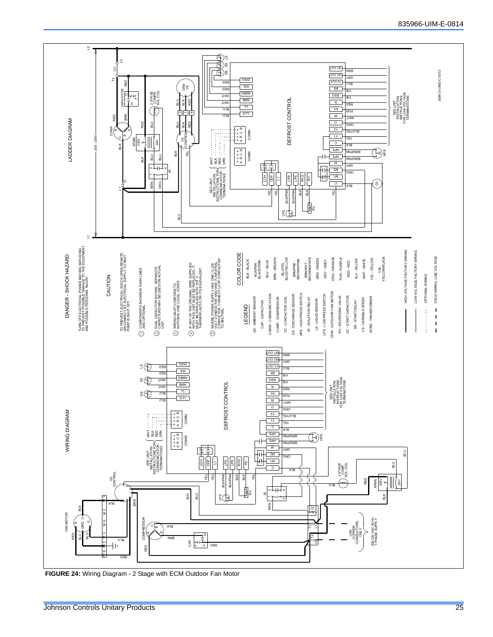

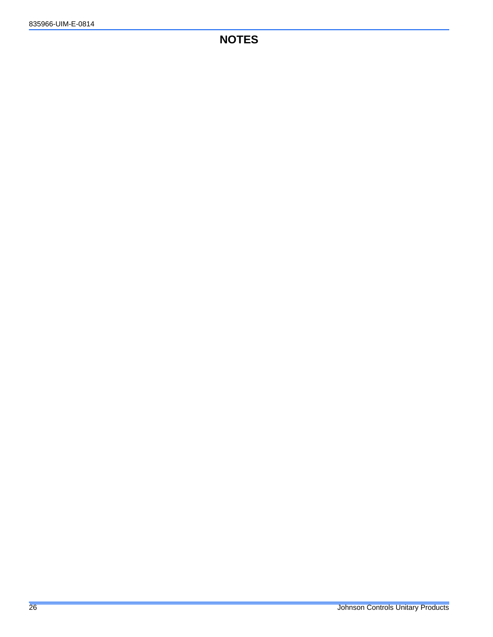### **NOTES**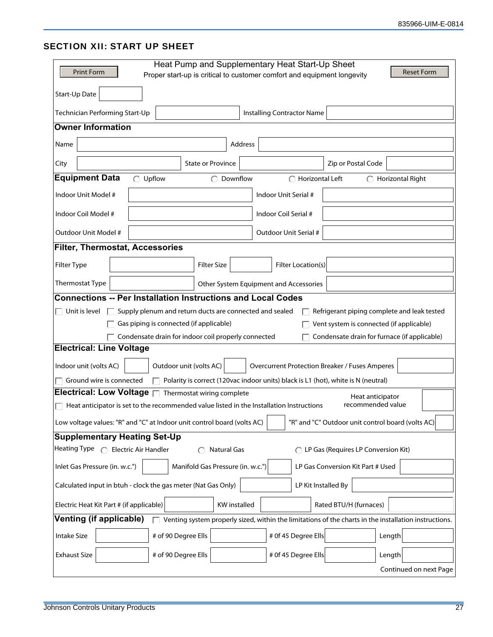### SECTION XII: START UP SHEET

| <b>Print Form</b>                                                                                                            | Heat Pump and Supplementary Heat Start-Up Sheet<br><b>Reset Form</b><br>Proper start-up is critical to customer comfort and equipment longevity |  |  |  |
|------------------------------------------------------------------------------------------------------------------------------|-------------------------------------------------------------------------------------------------------------------------------------------------|--|--|--|
| Start-Up Date                                                                                                                |                                                                                                                                                 |  |  |  |
| Technician Performing Start-Up                                                                                               | Installing Contractor Name                                                                                                                      |  |  |  |
| <b>Owner Information</b>                                                                                                     |                                                                                                                                                 |  |  |  |
| Address<br>Name                                                                                                              |                                                                                                                                                 |  |  |  |
| <b>State or Province</b><br>City                                                                                             | Zip or Postal Code                                                                                                                              |  |  |  |
| <b>Equipment Data</b><br>Upflow<br>Downflow                                                                                  | $\bigcirc$ Horizontal Left<br>$\bigcap$ Horizontal Right                                                                                        |  |  |  |
| Indoor Unit Model #                                                                                                          | Indoor Unit Serial #                                                                                                                            |  |  |  |
| Indoor Coil Model #                                                                                                          | Indoor Coil Serial #                                                                                                                            |  |  |  |
| Outdoor Unit Model #                                                                                                         | Outdoor Unit Serial #                                                                                                                           |  |  |  |
| <b>Filter, Thermostat, Accessories</b>                                                                                       |                                                                                                                                                 |  |  |  |
| Filter Type<br><b>Filter Size</b>                                                                                            | Filter Location(s)                                                                                                                              |  |  |  |
| Thermostat Type                                                                                                              | Other System Equipment and Accessories                                                                                                          |  |  |  |
| <b>Connections -- Per Installation Instructions and Local Codes</b>                                                          |                                                                                                                                                 |  |  |  |
| Supply plenum and return ducts are connected and sealed<br>$\Box$ Unit is level                                              | Refrigerant piping complete and leak tested                                                                                                     |  |  |  |
| Gas piping is connected (if applicable)                                                                                      | Vent system is connected (if applicable)                                                                                                        |  |  |  |
| Condensate drain for indoor coil properly connected<br>Condensate drain for furnace (if applicable)                          |                                                                                                                                                 |  |  |  |
| <b>Electrical: Line Voltage</b>                                                                                              |                                                                                                                                                 |  |  |  |
| Indoor unit (volts AC)<br>Outdoor unit (volts AC)                                                                            | <b>Overcurrent Protection Breaker / Fuses Amperes</b>                                                                                           |  |  |  |
| Ground wire is connected<br>Polarity is correct (120vac indoor units) black is L1 (hot), white is N (neutral)                |                                                                                                                                                 |  |  |  |
| Electrical: Low Voltage $\Box$<br>Thermostat wiring complete                                                                 | Heat anticipator                                                                                                                                |  |  |  |
| Heat anticipator is set to the recommended value listed in the Installation Instructions                                     | recommended value                                                                                                                               |  |  |  |
| Low voltage values: "R" and "C" at Indoor unit control board (volts AC)<br>"R" and "C" Outdoor unit control board (volts AC) |                                                                                                                                                 |  |  |  |
| <b>Supplementary Heating Set-Up</b>                                                                                          |                                                                                                                                                 |  |  |  |
| Heating Type $\bigcap$ Electric Air Handler<br><b>Natural Gas</b>                                                            | ◯ LP Gas (Requires LP Conversion Kit)                                                                                                           |  |  |  |
| Manifold Gas Pressure (in. w.c.")<br>Inlet Gas Pressure (in. w.c.")                                                          | LP Gas Conversion Kit Part # Used                                                                                                               |  |  |  |
| Calculated input in btuh - clock the gas meter (Nat Gas Only)                                                                | LP Kit Installed By                                                                                                                             |  |  |  |
| Electric Heat Kit Part # (if applicable)<br><b>KW</b> installed                                                              | Rated BTU/H (furnaces)                                                                                                                          |  |  |  |
| <b>Venting (if applicable)</b>                                                                                               | Venting system properly sized, within the limitations of the charts in the installation instructions.                                           |  |  |  |
| # of 90 Degree Ells<br><b>Intake Size</b>                                                                                    | # 0f 45 Degree Ells<br>Length                                                                                                                   |  |  |  |
| # of 90 Degree Ells<br><b>Exhaust Size</b>                                                                                   | # 0f 45 Degree Ells<br>Length                                                                                                                   |  |  |  |
|                                                                                                                              | Continued on next Page                                                                                                                          |  |  |  |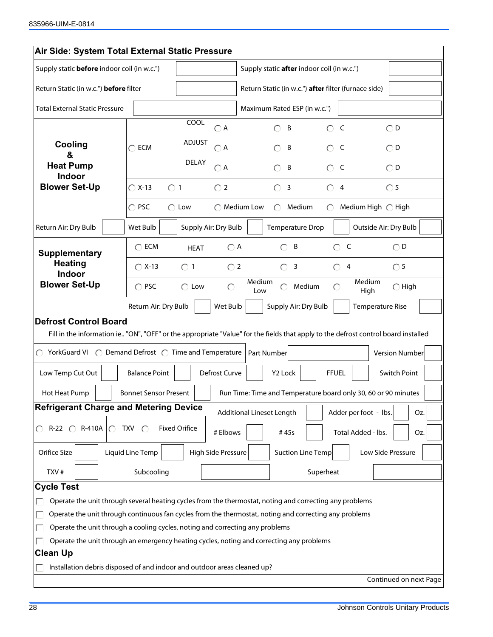| Air Side: System Total External Static Pressure                                                                                                                    |                                        |                                                                                     |                    |                                                                        |                                                      |                           |                                                                |                        |
|--------------------------------------------------------------------------------------------------------------------------------------------------------------------|----------------------------------------|-------------------------------------------------------------------------------------|--------------------|------------------------------------------------------------------------|------------------------------------------------------|---------------------------|----------------------------------------------------------------|------------------------|
| Supply static <b>before</b> indoor coil (in w.c.")                                                                                                                 |                                        |                                                                                     |                    | Supply static after indoor coil (in w.c.")                             |                                                      |                           |                                                                |                        |
|                                                                                                                                                                    | Return Static (in w.c.") before filter |                                                                                     |                    |                                                                        | Return Static (in w.c.") after filter (furnace side) |                           |                                                                |                        |
| <b>Total External Static Pressure</b>                                                                                                                              |                                        |                                                                                     |                    | Maximum Rated ESP (in w.c.")                                           |                                                      |                           |                                                                |                        |
|                                                                                                                                                                    |                                        | <b>COOL</b>                                                                         | $\bigcirc$ A       |                                                                        | B                                                    | $\bigcirc$ C              | $\bigcirc$ D                                                   |                        |
| Cooling                                                                                                                                                            | $\bigcap$ ECM                          | <b>ADJUST</b>                                                                       | $\bigcirc$ A       |                                                                        | B                                                    | -C                        | $\bigcirc$ D                                                   |                        |
| &<br><b>Heat Pump</b><br><b>Indoor</b>                                                                                                                             |                                        | <b>DELAY</b>                                                                        | $\bigcirc$ A       |                                                                        | B                                                    | - C<br>$\bigcirc$         | $\bigcirc$ D                                                   |                        |
| <b>Blower Set-Up</b>                                                                                                                                               | $\bigcirc$ X-13<br>$\bigcap$ 1         |                                                                                     | $\bigcirc$ 2       |                                                                        | $\circ$<br>$\overline{\mathbf{3}}$                   | $\circ$<br>$\overline{4}$ | $\bigcirc$ 5                                                   |                        |
|                                                                                                                                                                    | $\bigcap$ PSC                          | $\bigcirc$ Low                                                                      |                    | $\bigcap$ Medium Low                                                   | Medium                                               |                           | Medium High ◯ High                                             |                        |
| Return Air: Dry Bulb                                                                                                                                               | Wet Bulb                               | Supply Air: Dry Bulb                                                                |                    |                                                                        | Temperature Drop                                     |                           | Outside Air: Dry Bulb                                          |                        |
| <b>Supplementary</b>                                                                                                                                               | $\bigcirc$ ECM                         | <b>HEAT</b>                                                                         | $\bigcirc$ A       |                                                                        | B<br>$\bigcirc$                                      | C<br>$\bigcirc$           |                                                                | $\bigcirc$ D           |
| <b>Heating</b><br>Indoor                                                                                                                                           | $\bigcap$ X-13                         | $\bigcirc$ 1                                                                        | $\bigcirc$ 2       |                                                                        | $\overline{\mathbf{3}}$<br>$\circ$                   | $\circ$<br>$\overline{4}$ |                                                                | $\circ$ 5              |
| <b>Blower Set-Up</b>                                                                                                                                               | $\bigcirc$ PSC                         | $\bigcirc$ Low                                                                      | $\circ$            | Medium<br>Medium<br>∩<br>Medium<br>$\bigcirc$ High<br>∩<br>Low<br>High |                                                      |                           |                                                                |                        |
|                                                                                                                                                                    |                                        | Supply Air: Dry Bulb<br>Return Air: Dry Bulb<br>Wet Bulb<br><b>Temperature Rise</b> |                    |                                                                        |                                                      |                           |                                                                |                        |
| <b>Defrost Control Board</b><br>Fill in the information ie "ON", "OFF" or the appropriate "Value" for the fields that apply to the defrost control board installed |                                        |                                                                                     |                    |                                                                        |                                                      |                           |                                                                |                        |
| YorkGuard VI ◯ Demand Defrost ◯ Time and Temperature<br>◯                                                                                                          |                                        |                                                                                     |                    |                                                                        | Part Number                                          |                           |                                                                | Version Number         |
| Low Temp Cut Out                                                                                                                                                   | <b>Balance Point</b>                   |                                                                                     | Defrost Curve      |                                                                        | Y2 Lock                                              | <b>FFUEL</b>              |                                                                | Switch Point           |
| Hot Heat Pump                                                                                                                                                      | <b>Bonnet Sensor Present</b>           |                                                                                     |                    |                                                                        |                                                      |                           | Run Time: Time and Temperature board only 30, 60 or 90 minutes |                        |
| <b>Refrigerant Charge and Metering Device</b>                                                                                                                      |                                        |                                                                                     |                    |                                                                        | <b>Additional Lineset Length</b>                     |                           | Adder per foot - Ibs.                                          | Oz.                    |
| R-22 ◯ R-410A<br>∩.                                                                                                                                                | $TXV$ $\bigcirc$                       | <b>Fixed Orifice</b>                                                                | # Elbows           |                                                                        | #45s                                                 |                           | Total Added - lbs.                                             | Oz.                    |
| Orifice Size                                                                                                                                                       | Liquid Line Temp                       |                                                                                     | High Side Pressure |                                                                        | <b>Suction Line Temp</b>                             |                           | Low Side Pressure                                              |                        |
| TXV#                                                                                                                                                               | Subcooling                             |                                                                                     |                    |                                                                        |                                                      | Superheat                 |                                                                |                        |
| <b>Cycle Test</b>                                                                                                                                                  |                                        |                                                                                     |                    |                                                                        |                                                      |                           |                                                                |                        |
| Operate the unit through several heating cycles from the thermostat, noting and correcting any problems                                                            |                                        |                                                                                     |                    |                                                                        |                                                      |                           |                                                                |                        |
| Operate the unit through continuous fan cycles from the thermostat, noting and correcting any problems                                                             |                                        |                                                                                     |                    |                                                                        |                                                      |                           |                                                                |                        |
| Operate the unit through a cooling cycles, noting and correcting any problems                                                                                      |                                        |                                                                                     |                    |                                                                        |                                                      |                           |                                                                |                        |
| Operate the unit through an emergency heating cycles, noting and correcting any problems                                                                           |                                        |                                                                                     |                    |                                                                        |                                                      |                           |                                                                |                        |
| <b>Clean Up</b>                                                                                                                                                    |                                        |                                                                                     |                    |                                                                        |                                                      |                           |                                                                |                        |
| Installation debris disposed of and indoor and outdoor areas cleaned up?                                                                                           |                                        |                                                                                     |                    |                                                                        |                                                      |                           |                                                                | Continued on next Page |
|                                                                                                                                                                    |                                        |                                                                                     |                    |                                                                        |                                                      |                           |                                                                |                        |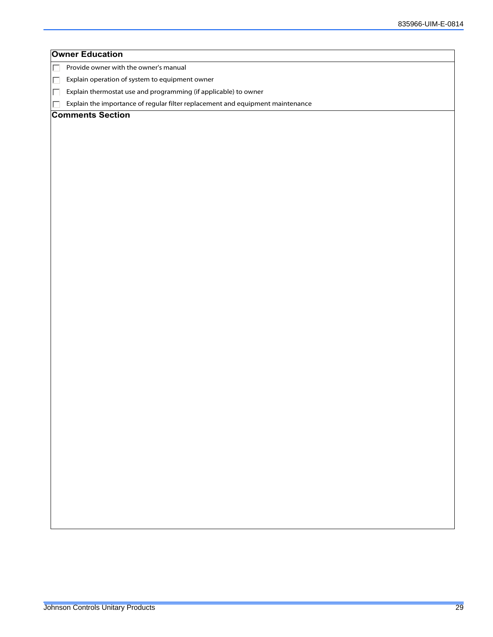| <b>Owner Education</b>                                                              |
|-------------------------------------------------------------------------------------|
| Provide owner with the owner's manual<br>$\Box$                                     |
| Explain operation of system to equipment owner<br>$\Box$                            |
| Explain thermostat use and programming (if applicable) to owner<br>П                |
| Explain the importance of regular filter replacement and equipment maintenance<br>П |
| <b>Comments Section</b>                                                             |
|                                                                                     |
|                                                                                     |
|                                                                                     |
|                                                                                     |
|                                                                                     |
|                                                                                     |
|                                                                                     |
|                                                                                     |
|                                                                                     |
|                                                                                     |
|                                                                                     |
|                                                                                     |
|                                                                                     |
|                                                                                     |
|                                                                                     |
|                                                                                     |
|                                                                                     |
|                                                                                     |
|                                                                                     |
|                                                                                     |
|                                                                                     |
|                                                                                     |
|                                                                                     |
|                                                                                     |
|                                                                                     |
|                                                                                     |
|                                                                                     |
|                                                                                     |
|                                                                                     |
|                                                                                     |
|                                                                                     |
|                                                                                     |
|                                                                                     |
|                                                                                     |